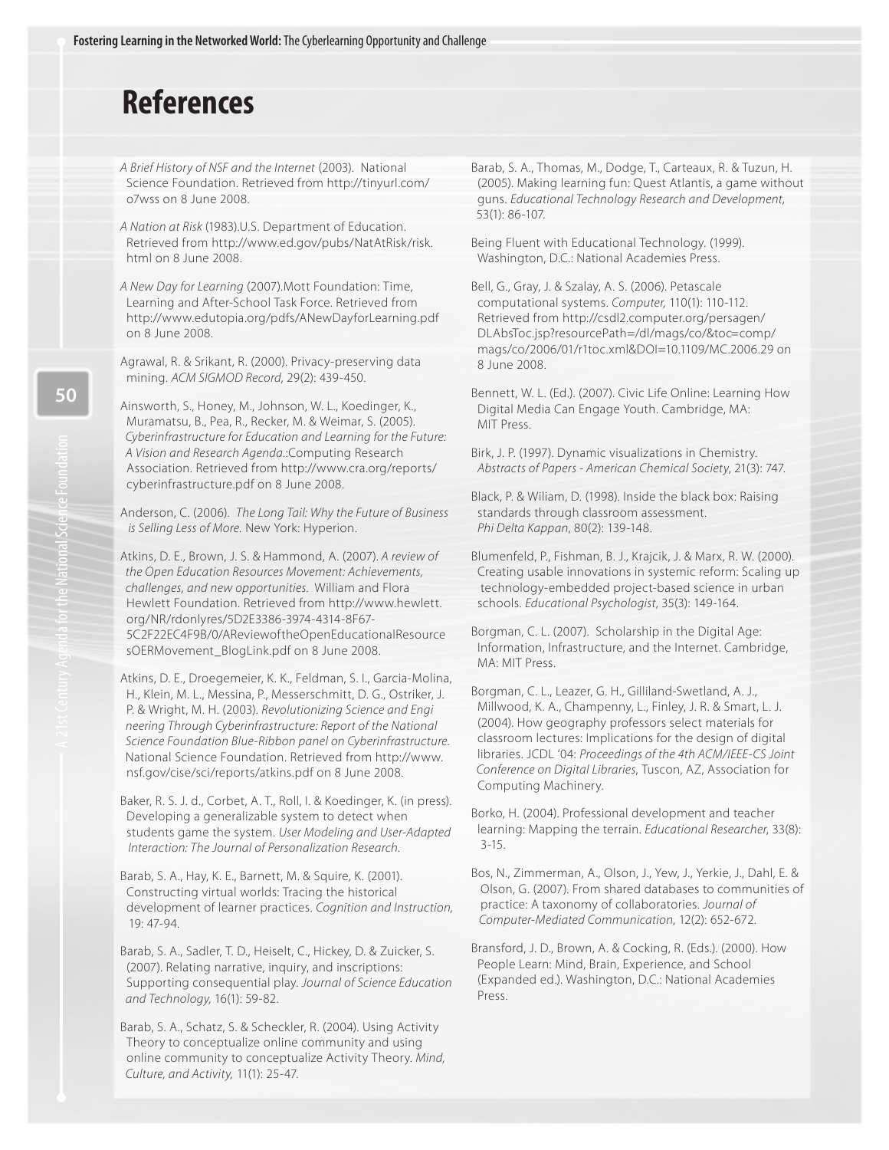## **References**

A Brief History of NSF and the Internet (2003). National Science Foundation. Retrieved from <http://tinyurl.com/> o7wss on 8 June 2008.

A Nation at Risk (1983).U.S. Department of Education. Retrieved from [http://www.ed.gov/pubs/NatAtRisk/risk.](http://www.ed.gov/pubs/NatAtRisk/risk.htmlon8June2008.ANewDayforLearning) [html on 8 June 2008.](http://www.ed.gov/pubs/NatAtRisk/risk.htmlon8June2008.ANewDayforLearning) 

[A New Day for Learning](http://www.ed.gov/pubs/NatAtRisk/risk.htmlon8June2008.ANewDayforLearning) (2007).Mott Foundation: Time, Learning and After-School Task Force. Retrieved from <http://www.edutopia.org/pdfs/ANewDayforLearning.pdf> on 8 June 2008.

Agrawal, R. & Srikant, R. (2000). Privacy-preserving data mining. ACM SIGMOD Record, 29(2): 439-450.

Ainsworth, S., Honey, M., Johnson, W. L., Koedinger, K., Muramatsu, B., Pea, R., Recker, M. & Weimar, S. (2005). Cyberinfrastructure for Education and Learning for the Future: A Vision and Research Agenda.:Computing Research Association. Retrieved from <http://www.cra.org/reports/> cyberinfrastructure.pdf on 8 June 2008.

Anderson, C. (2006). The Long Tail: Why the Future of Business is Selling Less of More. New York: Hyperion.

Atkins, D. E., Brown, J. S. & Hammond, A. (2007). A review of the Open Education Resources Movement: Achievements, challenges, and new opportunities. William and Flora Hewlett Foundation. Retrieved from [http://www.hewlett.](http://www.hewlett) org/NR/rdonlyres/5D2E3386-3974-4314-8F67- 5C2F22EC4F9B/0/AReviewoftheOpenEducationalResource sOERMovement\_BlogLink.pdf on 8 June 2008.

Atkins, D. E., Droegemeier, K. K., Feldman, S. I., Garcia-Molina, H., Klein, M. L., Messina, P., Messerschmitt, D. G., Ostriker, J. P. & Wright, M. H. (2003). Revolutionizing Science and Engi neering Through Cyberinfrastructure: Report of the National Science Foundation Blue-Ribbon panel on Cyberinfrastructure. National Science Foundation. Retrieved from [http://www.](http://www) nsf.gov/cise/sci/reports/atkins.pdf on 8 June 2008.

Baker, R. S. J. d., Corbet, A. T., Roll, I. & Koedinger, K. (in press). Developing a generalizable system to detect when students game the system. User Modeling and User-Adapted Interaction: The Journal of Personalization Research.

Barab, S. A., Hay, K. E., Barnett, M. & Squire, K. (2001). Constructing virtual worlds: Tracing the historical development of learner practices. Cognition and Instruction, 19: 47-94.

Barab, S. A., Sadler, T. D., Heiselt, C., Hickey, D. & Zuicker, S. (2007). Relating narrative, inquiry, and inscriptions: Supporting consequential play. Journal of Science Education and Technology, 16(1): 59-82.

Barab, S. A., Schatz, S. & Scheckler, R. (2004). Using Activity Theory to conceptualize online community and using online community to conceptualize Activity Theory. Mind, Culture, and Activity, 11(1): 25-47.

Barab, S. A., Thomas, M., Dodge, T., Carteaux, R. & Tuzun, H. (2005). Making learning fun: Quest Atlantis, a game without guns. Educational Technology Research and Development, 53(1): 86-107.

Being Fluent with Educational Technology. (1999). Washington, D.C.: National Academies Press.

Bell, G., Gray, J. & Szalay, A. S. (2006). Petascale computational systems. Computer, 110(1): 110-112. Retrieved from <http://csdl2.computer.org/persagen/> DLAbsToc.jsp?resourcePath=/dl/mags/co/&toc=comp/ mags/co/2006/01/r1toc.xml&DOI=10.1109/MC.2006.29 on 8 June 2008.

Bennett, W. L. (Ed.). (2007). Civic Life Online: Learning How Digital Media Can Engage Youth. Cambridge, MA: MIT Press.

Birk, J. P. (1997). Dynamic visualizations in Chemistry. Abstracts of Papers - American Chemical Society, 21(3): 747.

Black, P. & Wiliam, D. (1998). Inside the black box: Raising standards through classroom assessment. Phi Delta Kappan, 80(2): 139-148.

Blumenfeld, P., Fishman, B. J., Krajcik, J. & Marx, R. W. (2000). Creating usable innovations in systemic reform: Scaling up technology-embedded project-based science in urban schools. Educational Psychologist, 35(3): 149-164.

Borgman, C. L. (2007). Scholarship in the Digital Age: Information, Infrastructure, and the Internet. Cambridge, MA: MIT Press.

Borgman, C. L., Leazer, G. H., Gilliland-Swetland, A. J., Millwood, K. A., Champenny, L., Finley, J. R. & Smart, L. J. (2004). How geography professors select materials for classroom lectures: Implications for the design of digital libraries. JCDL '04: Proceedings of the 4th ACM/IEEE-CS Joint Conference on Digital Libraries, Tuscon, AZ, Association for Computing Machinery.

Borko, H. (2004). Professional development and teacher learning: Mapping the terrain. Educational Researcher, 33(8): 3-15.

Bos, N., Zimmerman, A., Olson, J., Yew, J., Yerkie, J., Dahl, E. & Olson, G. (2007). From shared databases to communities of practice: A taxonomy of collaboratories. Journal of Computer-Mediated Communication, 12(2): 652-672.

Bransford, J. D., Brown, A. & Cocking, R. (Eds.). (2000). How People Learn: Mind, Brain, Experience, and School (Expanded ed.). Washington, D.C.: National Academies Press.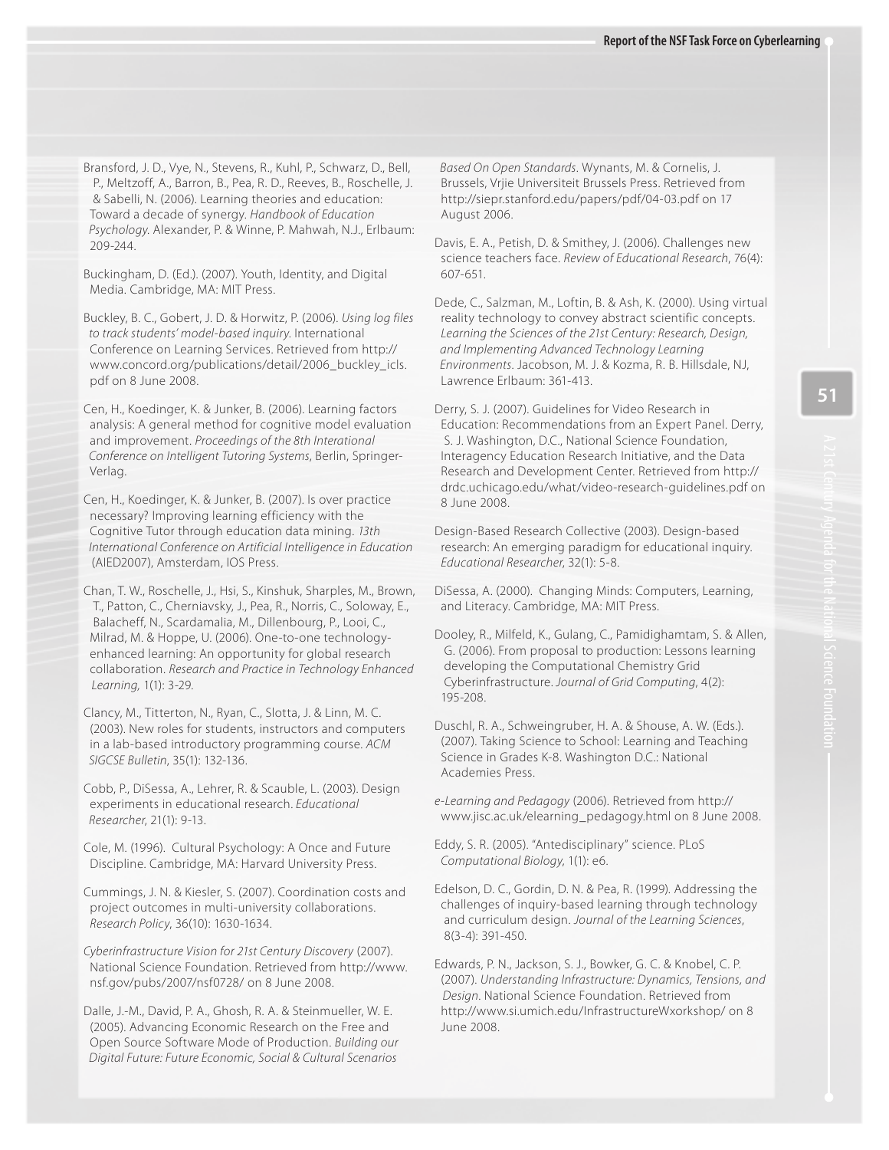Psychology. Alexander, P. & Winne, P. Mahwah, N.J., Erlbaum: Bransford, J. D., Vye, N., Stevens, R., Kuhl, P., Schwarz, D., Bell, P., Meltzoff, A., Barron, B., Pea, R. D., Reeves, B., Roschelle, J. & Sabelli, N. (2006). Learning theories and education: Toward a decade of synergy. Handbook of Education 209-244.

 Buckingham, D. (Ed.). (2007). Youth, Identity, and Digital Media. Cambridge, MA: MIT Press.

Buckley, B. C., Gobert, J. D. & Horwitz, P. (2006). Using log files to track students' model-based inquiry. International Conference on Learning Services. Retrieved from [http://](http://www.concord.org/publications/detail/2006_buckley_icls)  [www.concord.org/publications/detail/2006\\_buckley\\_icls.](http://www.concord.org/publications/detail/2006_buckley_icls) pdf on 8 June 2008.

 Cen, H., Koedinger, K. & Junker, B. (2006). Learning factors Conference on Intelligent Tutoring Systems, Berlin, Springer analysis: A general method for cognitive model evaluation and improvement. Proceedings of the 8th Interational Verlag.

 Cen, H., Koedinger, K. & Junker, B. (2007). Is over practice necessary? Improving learning efficiency with the Cognitive Tutor through education data mining. 13th International Conference on Artificial Intelligence in Education (AIED2007), Amsterdam, IOS Press.

Chan, T. W., Roschelle, J., Hsi, S., Kinshuk, Sharples, M., Brown, T., Patton, C., Cherniavsky, J., Pea, R., Norris, C., Soloway, E., Balacheff, N., Scardamalia, M., Dillenbourg, P., Looi, C., Milrad, M. & Hoppe, U. (2006). One-to-one technologyenhanced learning: An opportunity for global research collaboration. Research and Practice in Technology Enhanced Learning, 1(1): 3-29.

 Clancy, M., Titterton, N., Ryan, C., Slotta, J. & Linn, M. C. (2003). New roles for students, instructors and computers in a lab-based introductory programming course. ACM SIGCSE Bulletin, 35(1): 132-136.

Cobb, P., DiSessa, A., Lehrer, R. & Scauble, L. (2003). Design experiments in educational research. Educational Researcher, 21(1): 9-13.

 Cole, M. (1996). Cultural Psychology: A Once and Future Discipline. Cambridge, MA: Harvard University Press.

 Cummings, J. N. & Kiesler, S. (2007). Coordination costs and project outcomes in multi-university collaborations. Research Policy, 36(10): 1630-1634.

Cyberinfrastructure Vision for 21st Century Discovery (2007). National Science Foundation. Retrieved from [http://www.](http://www) nsf.gov/pubs/2007/nsf0728/ on 8 June 2008.

Dalle, J.-M., David, P. A., Ghosh, R. A. & Steinmueller, W. E. (2005). Advancing Economic Research on the Free and Open Source Software Mode of Production. Building our Digital Future: Future Economic, Social & Cultural Scenarios

 Based On Open Standards. Wynants, M. & Cornelis, J. Brussels, Vrjie Universiteit Brussels Press. Retrieved from [http://siepr.stanford.edu/papers/pdf/04-03.pdf on](http://siepr.stanford.edu/papers/pdf/04-03.pdf) 17 August 2006.

 Davis, E. A., Petish, D. & Smithey, J. (2006). Challenges new science teachers face. Review of Educational Research, 76(4): 607-651.

 Dede, C., Salzman, M., Loftin, B. & Ash, K. (2000). Using virtual reality technology to convey abstract scientific concepts. Learning the Sciences of the 21st Century: Research, Design, and Implementing Advanced Technology Learning Environments. Jacobson, M. J. & Kozma, R. B. Hillsdale, NJ, Lawrence Erlbaum: 361-413.

 Derry, S. J. (2007). Guidelines for Video Research in Education: Recommendations from an Expert Panel. Derry, S. J. Washington, D.C., National Science Foundation, Interagency Education Research Initiative, and the Data Research and Development Center. Retrieved from [http://](http://drdc.uchicago.edu/what/video-research-guidelines.pdf)  [drdc.uchicago.edu/what/video-research-guidelines.pdf on](http://drdc.uchicago.edu/what/video-research-guidelines.pdf) 8 June 2008.

 research: An emerging paradigm for educational inquiry. Design-Based Research Collective (2003). Design-based Educational Researcher, 32(1): 5-8.

DiSessa, A. (2000). Changing Minds: Computers, Learning, and Literacy. Cambridge, MA: MIT Press.

 Cyberinfrastructure. Journal of Grid Computing, 4(2): Dooley, R., Milfeld, K., Gulang, C., Pamidighamtam, S. & Allen, G. (2006). From proposal to production: Lessons learning developing the Computational Chemistry Grid 195-208.

Duschl, R. A., Schweingruber, H. A. & Shouse, A. W. (Eds.). (2007). Taking Science to School: Learning and Teaching Science in Grades K-8. Washington D.C.: National Academies Press.

e-Learning and Pedagogy (2006). Retrieved from [http://](http://www.jisc.ac.uk/elearning_pedagogy.html) [www.jisc.ac.uk/elearning\\_pedagogy.html on](http://www.jisc.ac.uk/elearning_pedagogy.html) 8 June 2008.

Eddy, S. R. (2005). "Antedisciplinary" science. PLoS Computational Biology, 1(1): e6.

Edelson, D. C., Gordin, D. N. & Pea, R. (1999). Addressing the challenges of inquiry-based learning through technology and curriculum design. Journal of the Learning Sciences, 8(3-4): 391-450.

 Edwards, P. N., Jackson, S. J., Bowker, G. C. & Knobel, C. P. Design. National Science Foundation. Retrieved from (2007). Understanding Infrastructure: Dynamics, Tensions, and [http://www.si.umich.edu/InfrastructureWxorkshop/ on](http://www.si.umich.edu/InfrastructureWxorkshop/) 8 June 2008.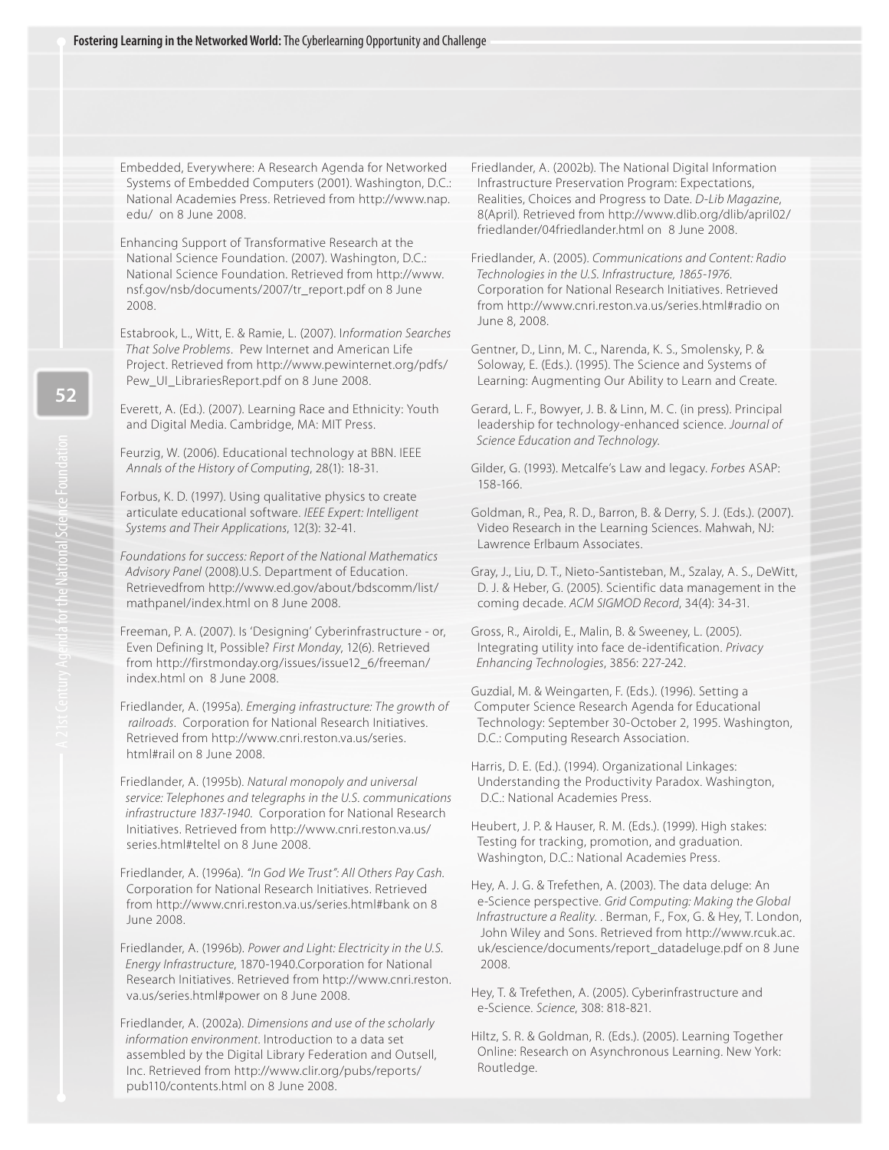Embedded, Everywhere: A Research Agenda for Networked Systems of Embedded Computers (2001). Washington, D.C.: National Academies Press. Retrieved from [http://www.nap.](http://www.nap) edu/ on 8 June 2008.

 Enhancing Support of Transformative Research at the National Science Foundation. (2007). Washington, D.C.: National Science Foundation. Retrieved from [http://www.](http://www) nsf.gov/nsb/documents/2007/tr\_report.pdf on 8 June 2008.

 That Solve Problems. Pew Internet and American Life Estabrook, L., Witt, E. & Ramie, L. (2007). Information Searches Project. Retrieved from <http://www.pewinternet.org/pdfs/> Pew\_UI\_LibrariesReport.pdf on 8 June 2008.

 Everett, A. (Ed.). (2007). Learning Race and Ethnicity: Youth and Digital Media. Cambridge, MA: MIT Press.

 Feurzig, W. (2006). Educational technology at BBN. IEEE Annals of the History of Computing, 28(1): 18-31.

Forbus, K. D. (1997). Using qualitative physics to create articulate educational software. IEEE Expert: Intelligent Systems and Their Applications, 12(3): 32-41.

Foundations for success: Report of the National Mathematics Advisory Panel (2008).U.S. Department of Education. Retrievedfrom [http://www.ed.gov/about/bdscomm/list/](http://www.ed.gov/about/bdscomm/list/mathpanel/index.htmlon8June2008.Freeman) [mathpanel/index.html on 8 June 2008.](http://www.ed.gov/about/bdscomm/list/mathpanel/index.htmlon8June2008.Freeman) 

 [Freeman,](http://www.ed.gov/about/bdscomm/list/mathpanel/index.htmlon8June2008.Freeman) P. A. (2007). Is 'Designing' Cyberinfrastructure - or, Even Defining It, Possible? First Monday, 12(6). Retrieved from [http://firstmonday.org/issues/issue12\\_6/freeman/](http://firstmonday.org/issues/issue12_6/freeman/) index.html on 8 June 2008.

Friedlander, A. (1995a). Emerging infrastructure: The growth of railroads. Corporation for National Research Initiatives. Retrieved from [http://www.cnri.reston.va.us/series.](http://www.cnri.reston.va.us/series) html#rail on 8 June 2008.

Friedlander, A. (1995b). Natural monopoly and universal service: Telephones and telegraphs in the U.S. communications infrastructure 1837-1940. Corporation for National Research Initiatives. Retrieved from <http://www.cnri.reston.va.us/> series.html#teltel on 8 June 2008.

Friedlander, A. (1996a). "In God We Trust": All Others Pay Cash. Corporation for National Research Initiatives. Retrieved from [http://www.cnri.reston.va.us/series.html#bank on](http://www.cnri.reston.va.us/series.html#bank) 8 June 2008.

Friedlander, A. (1996b). Power and Light: Electricity in the U.S. Energy Infrastructure, 1870-1940.Corporation for National Research Initiatives. Retrieved from [http://www.cnri.reston.](http://www.cnri.reston) va.us/series.html#power on 8 June 2008.

Friedlander, A. (2002a). Dimensions and use of the scholarly information environment. Introduction to a data set assembled by the Digital Library Federation and Outsell, Inc. Retrieved from<http://www.clir.org/pubs/reports/> pub110/contents.html on 8 June 2008.

Friedlander, A. (2002b). The National Digital Information Infrastructure Preservation Program: Expectations, Realities, Choices and Progress to Date. D-Lib Magazine, 8(April). Retrieved from <http://www.dlib.org/dlib/april02/> friedlander/04friedlander.html on 8 June 2008.

Friedlander, A. (2005). Communications and Content: Radio Technologies in the U.S. Infrastructure, 1865-1976. Corporation for National Research Initiatives. Retrieved from [http://www.cnri.reston.va.us/series.html#radio on](http://www.cnri.reston.va.us/series.html#radio) June 8, 2008.

Gentner, D., Linn, M. C., Narenda, K. S., Smolensky, P. & Soloway, E. (Eds.). (1995). The Science and Systems of Learning: Augmenting Our Ability to Learn and Create.

Gerard, L. F., Bowyer, J. B. & Linn, M. C. (in press). Principal leadership for technology-enhanced science. Journal of Science Education and Technology.

 Gilder, G. (1993). Metcalfe's Law and legacy. Forbes ASAP: 158-166.

 Goldman, R., Pea, R. D., Barron, B. & Derry, S. J. (Eds.). (2007). Video Research in the Learning Sciences. Mahwah, NJ: Lawrence Erlbaum Associates.

Gray, J., Liu, D. T., Nieto-Santisteban, M., Szalay, A. S., DeWitt, D. J. & Heber, G. (2005). Scientific data management in the coming decade. ACM SIGMOD Record, 34(4): 34-31.

 Gross, R., Airoldi, E., Malin, B. & Sweeney, L. (2005). Integrating utility into face de-identification. Privacy Enhancing Technologies, 3856: 227-242.

Guzdial, M. & Weingarten, F. (Eds.). (1996). Setting a Computer Science Research Agenda for Educational Technology: September 30-October 2, 1995. Washington, D.C.: Computing Research Association.

 Harris, D. E. (Ed.). (1994). Organizational Linkages: Understanding the Productivity Paradox. Washington, D.C.: National Academies Press.

Heubert, J. P. & Hauser, R. M. (Eds.). (1999). High stakes: Testing for tracking, promotion, and graduation. Washington, D.C.: National Academies Press.

Hey, A. J. G. & Trefethen, A. (2003). The data deluge: An e-Science perspective. Grid Computing: Making the Global Infrastructure a Reality. . Berman, F., Fox, G. & Hey, T. London, John Wiley and Sons. Retrieved from [http://www.rcuk.ac.](http://www.rcuk.ac) uk/escience/documents/report\_datadeluge.pdf on 8 June 2008.

 Hey, T. & Trefethen, A. (2005). Cyberinfrastructure and e-Science. Science, 308: 818-821.

 Hiltz, S. R. & Goldman, R. (Eds.). (2005). Learning Together Online: Research on Asynchronous Learning. New York: Routledge.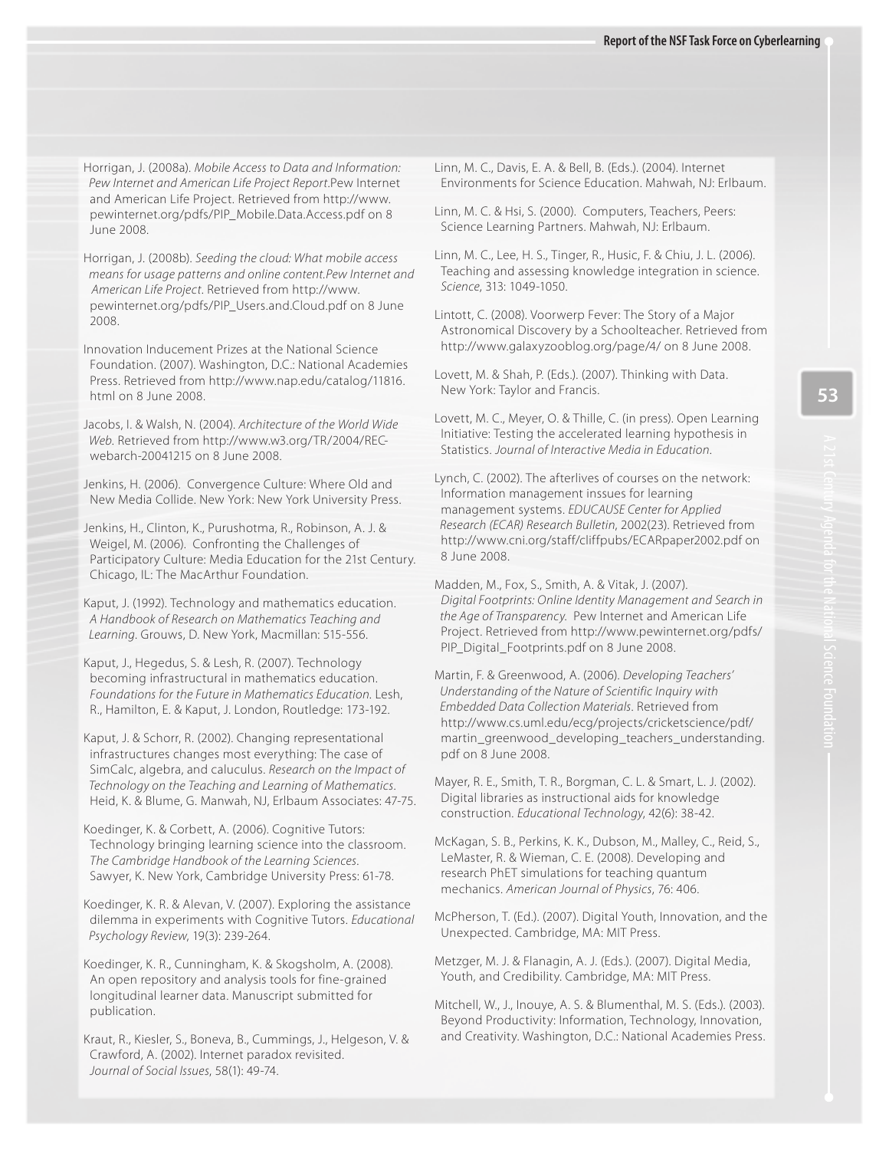Horrigan, J. (2008a). Mobile Access to Data and Information: Pew Internet and American Life Project Report.Pew Internet and American Life Project. Retrieved from [http://www.](http://www) pewinternet.org/pdfs/PIP\_Mobile.Data.Access.pdf on 8 June 2008.

Horrigan, J. (2008b). Seeding the cloud: What mobile access means for usage patterns and online content.Pew Internet and American Life Project. Retrieved from [http://www.](http://www) pewinternet.org/pdfs/PIP\_Users.and.Cloud.pdf on 8 June 2008.

Innovation Inducement Prizes at the National Science Foundation. (2007). Washington, D.C.: National Academies Press. Retrieved from [http://www.nap.edu/catalog/11816.](http://www.nap.edu/catalog/11816) html on 8 June 2008.

Jacobs, I. & Walsh, N. (2004). Architecture of the World Wide Web[. Retrieved from http://www.w3.org/TR/2004/REC](http://www.w3.org/TR/2004/REC-webarch-20041215) webarch[-20041215 on](http://www.w3.org/TR/2004/REC-webarch-20041215) 8 June 2008.

 Jenkins, H. (2006). Convergence Culture: Where Old and New Media Collide. New York: New York University Press.

Jenkins, H., Clinton, K., Purushotma, R., Robinson, A. J. & Weigel, M. (2006). Confronting the Challenges of Participatory Culture: Media Education for the 21st Century. Chicago, IL: The MacArthur Foundation.

 Kaput, J. (1992). Technology and mathematics education. A Handbook of Research on Mathematics Teaching and Learning. Grouws, D. New York, Macmillan: 515-556.

Kaput, J., Hegedus, S. & Lesh, R. (2007). Technology becoming infrastructural in mathematics education. Foundations for the Future in Mathematics Education. Lesh, R., Hamilton, E. & Kaput, J. London, Routledge: 173-192.

 Kaput, J. & Schorr, R. (2002). Changing representational infrastructures changes most everything: The case of SimCalc, algebra, and caluculus. Research on the Impact of Technology on the Teaching and Learning of Mathematics. Heid, K. & Blume, G. Manwah, NJ, Erlbaum Associates: 47-75.

 Koedinger, K. & Corbett, A. (2006). Cognitive Tutors: Technology bringing learning science into the classroom. The Cambridge Handbook of the Learning Sciences. Sawyer, K. New York, Cambridge University Press: 61-78.

Koedinger, K. R. & Alevan, V. (2007). Exploring the assistance dilemma in experiments with Cognitive Tutors. Educational Psychology Review, 19(3): 239-264.

 Koedinger, K. R., Cunningham, K. & Skogsholm, A. (2008). An open repository and analysis tools for fine-grained longitudinal learner data. Manuscript submitted for publication.

Kraut, R., Kiesler, S., Boneva, B., Cummings, J., Helgeson, V. & Crawford, A. (2002). Internet paradox revisited. Journal of Social Issues, 58(1): 49-74.

 Linn, M. C., Davis, E. A. & Bell, B. (Eds.). (2004). Internet Environments for Science Education. Mahwah, NJ: Erlbaum.

 Linn, M. C. & Hsi, S. (2000). Computers, Teachers, Peers: Science Learning Partners. Mahwah, NJ: Erlbaum.

 Linn, M. C., Lee, H. S., Tinger, R., Husic, F. & Chiu, J. L. (2006). Teaching and assessing knowledge integration in science. Science, 313: 1049-1050.

 Lintott, C. (2008). Voorwerp Fever: The Story of a Major Astronomical Discovery by a Schoolteacher. Retrieved from [http://www.galaxyzooblog.org/page/4/ on](http://www.galaxyzooblog.org/page/4/) 8 June 2008.

Lovett, M. & Shah, P. (Eds.). (2007). Thinking with Data. New York: Taylor and Francis.

 Lovett, M. C., Meyer, O. & Thille, C. (in press). Open Learning Initiative: Testing the accelerated learning hypothesis in Statistics. Journal of Interactive Media in Education.

 Research (ECAR) Research Bulletin, 2002(23). Retrieved from Lynch, C. (2002). The afterlives of courses on the network: Information management inssues for learning management systems. EDUCAUSE Center for Applied [http://www.cni.org/staff/cliffpubs/ECARpaper2002.pdf on](http://www.cni.org/staff/cliffpubs/ECARpaper2002.pdf) 8 June 2008.

 Madden, M., Fox, S., Smith, A. & Vitak, J. (2007). the Age of Transparency. Pew Internet and American Life Digital Footprints: Online Identity Management and Search in Project. Retrieved from<http://www.pewinternet.org/pdfs/> PIP\_Digital\_Footprints.pdf on 8 June 2008.

 Embedded Data Collection Materials. Retrieved from Martin, F. & Greenwood, A. (2006). Developing Teachers' Understanding of the Nature of Scientific Inquiry with <http://www.cs.uml.edu/ecg/projects/cricketscience/pdf/> martin\_greenwood\_developing\_teachers\_understanding. pdf on 8 June 2008.

 Mayer, R. E., Smith, T. R., Borgman, C. L. & Smart, L. J. (2002). Digital libraries as instructional aids for knowledge construction. Educational Technology, 42(6): 38-42.

 McKagan, S. B., Perkins, K. K., Dubson, M., Malley, C., Reid, S., LeMaster, R. & Wieman, C. E. (2008). Developing and research PhET simulations for teaching quantum mechanics. American Journal of Physics, 76: 406.

McPherson, T. (Ed.). (2007). Digital Youth, Innovation, and the Unexpected. Cambridge, MA: MIT Press.

 Metzger, M. J. & Flanagin, A. J. (Eds.). (2007). Digital Media, Youth, and Credibility. Cambridge, MA: MIT Press.

Mitchell, W., J., Inouye, A. S. & Blumenthal, M. S. (Eds.). (2003). Beyond Productivity: Information, Technology, Innovation, and Creativity. Washington, D.C.: National Academies Press.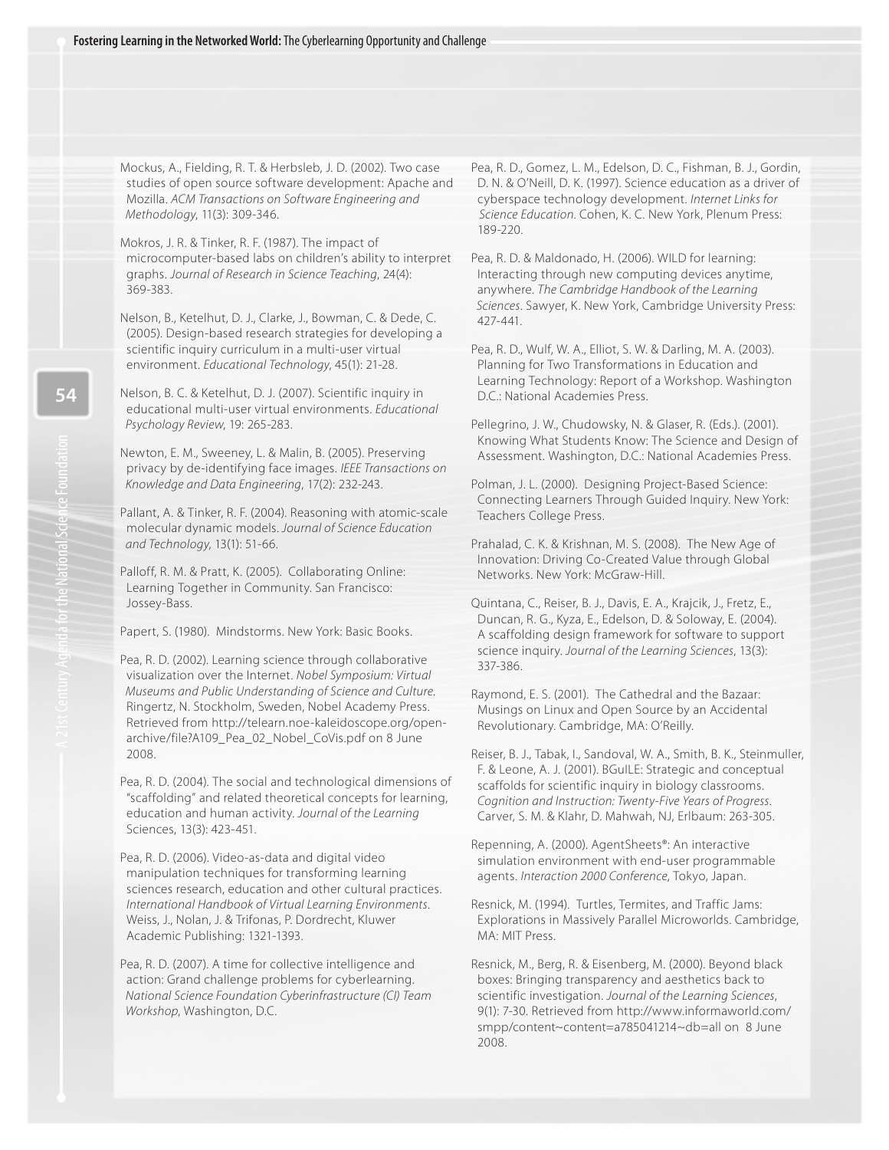Mockus, A., Fielding, R. T. & Herbsleb, J. D. (2002). Two case studies of open source software development: Apache and Mozilla. ACM Transactions on Software Engineering and Methodology, 11(3): 309-346.

 Mokros, J. R. & Tinker, R. F. (1987). The impact of microcomputer-based labs on children's ability to interpret graphs. Journal of Research in Science Teaching, 24(4): 369-383.

Nelson, B., Ketelhut, D. J., Clarke, J., Bowman, C. & Dede, C. (2005). Design-based research strategies for developing a scientific inquiry curriculum in a multi-user virtual environment. Educational Technology, 45(1): 21-28.

 Nelson, B. C. & Ketelhut, D. J. (2007). Scientific inquiry in educational multi-user virtual environments. Educational Psychology Review, 19: 265-283.

Newton, E. M., Sweeney, L. & Malin, B. (2005). Preserving privacy by de-identifying face images. IEEE Transactions on Knowledge and Data Engineering, 17(2): 232-243.

Pallant, A. & Tinker, R. F. (2004). Reasoning with atomic-scale molecular dynamic models. Journal of Science Education and Technology, 13(1): 51-66.

Palloff, R. M. & Pratt, K. (2005). Collaborating Online: Learning Together in Community. San Francisco: Jossey-Bass.

Papert, S. (1980). Mindstorms. New York: Basic Books.

Pea, R. D. (2002). Learning science through collaborative visualization over the Internet. Nobel Symposium: Virtual Museums and Public Understanding of Science and Culture. Ringertz, N. Stockholm, Sweden, Nobel Academy Press.  [Retrieved from http://telearn.noe-kaleidoscope.org/open](http://telearn.noe-kaleidoscope.org/open-archive/file?A109_Pea_02_Nobel_CoVis.pdf) archive/[file?A109\\_Pea\\_02\\_Nobel\\_CoVis.pdf on](http://telearn.noe-kaleidoscope.org/open-archive/file?A109_Pea_02_Nobel_CoVis.pdf) 8 June 2008.

Pea, R. D. (2004). The social and technological dimensions of "scaffolding" and related theoretical concepts for learning, education and human activity. Journal of the Learning Sciences, 13(3): 423-451.

 Pea, R. D. (2006). Video-as-data and digital video manipulation techniques for transforming learning sciences research, education and other cultural practices. International Handbook of Virtual Learning Environments. Weiss, J., Nolan, J. & Trifonas, P. Dordrecht, Kluwer Academic Publishing: 1321-1393.

Pea, R. D. (2007). A time for collective intelligence and action: Grand challenge problems for cyberlearning. National Science Foundation Cyberinfrastructure (CI) Team Workshop, Washington, D.C.

Pea, R. D., Gomez, L. M., Edelson, D. C., Fishman, B. J., Gordin, D. N. & O'Neill, D. K. (1997). Science education as a driver of cyberspace technology development. Internet Links for Science Education. Cohen, K. C. New York, Plenum Press: 189-220.

 Pea, R. D. & Maldonado, H. (2006). WILD for learning: Interacting through new computing devices anytime, anywhere. The Cambridge Handbook of the Learning Sciences. Sawyer, K. New York, Cambridge University Press: 427-441.

 Pea, R. D., Wulf, W. A., Elliot, S. W. & Darling, M. A. (2003). Planning for Two Transformations in Education and Learning Technology: Report of a Workshop. Washington D.C.: National Academies Press.

 Pellegrino, J. W., Chudowsky, N. & Glaser, R. (Eds.). (2001). Knowing What Students Know: The Science and Design of Assessment. Washington, D.C.: National Academies Press.

 Polman, J. L. (2000). Designing Project-Based Science: Connecting Learners Through Guided Inquiry. New York: Teachers College Press.

Prahalad, C. K. & Krishnan, M. S. (2008). The New Age of Innovation: Driving Co-Created Value through Global Networks. New York: McGraw-Hill.

 Quintana, C., Reiser, B. J., Davis, E. A., Krajcik, J., Fretz, E., science inquiry. Journal of the Learning Sciences, 13(3): Duncan, R. G., Kyza, E., Edelson, D. & Soloway, E. (2004). A scaffolding design framework for software to support 337-386.

 Raymond, E. S. (2001). The Cathedral and the Bazaar: Musings on Linux and Open Source by an Accidental Revolutionary. Cambridge, MA: O'Reilly.

Reiser, B. J., Tabak, I., Sandoval, W. A., Smith, B. K., Steinmuller, F. & Leone, A. J. (2001). BGuILE: Strategic and conceptual scaffolds for scientific inquiry in biology classrooms. Cognition and Instruction: Twenty-Five Years of Progress. Carver, S. M. & Klahr, D. Mahwah, NJ, Erlbaum: 263-305.

 Repenning, A. (2000). AgentSheets®: An interactive simulation environment with end-user programmable agents. Interaction 2000 Conference, Tokyo, Japan.

Resnick, M. (1994). Turtles, Termites, and Traffic Jams: Explorations in Massively Parallel Microworlds. Cambridge, MA: MIT Press.

 Resnick, M., Berg, R. & Eisenberg, M. (2000). Beyond black boxes: Bringing transparency and aesthetics back to scientific investigation. Journal of the Learning Sciences, 9(1): 7-30. Retrieved from <http://www.informaworld.com/> smpp/content~content=a785041214~db=all on 8 June 2008.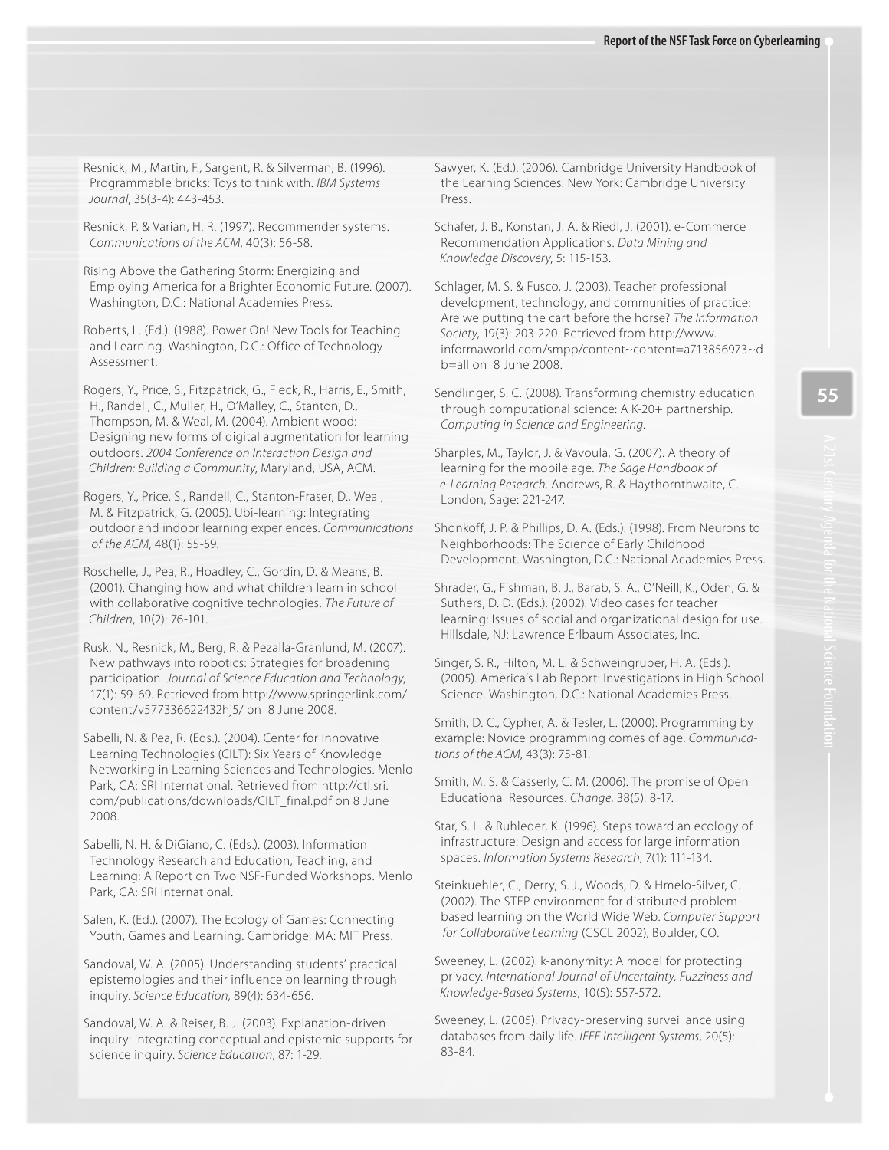Resnick, M., Martin, F., Sargent, R. & Silverman, B. (1996). Programmable bricks: Toys to think with. IBM Systems Journal, 35(3-4): 443-453.

 Resnick, P. & Varian, H. R. (1997). Recommender systems. Communications of the ACM, 40(3): 56-58.

 Rising Above the Gathering Storm: Energizing and Employing America for a Brighter Economic Future. (2007). Washington, D.C.: National Academies Press.

Roberts, L. (Ed.). (1988). Power On! New Tools for Teaching and Learning. Washington, D.C.: Office of Technology Assessment.

Rogers, Y., Price, S., Fitzpatrick, G., Fleck, R., Harris, E., Smith, H., Randell, C., Muller, H., O'Malley, C., Stanton, D., Thompson, M. & Weal, M. (2004). Ambient wood: Designing new forms of digital augmentation for learning outdoors. 2004 Conference on Interaction Design and Children: Building a Community, Maryland, USA, ACM.

 Rogers, Y., Price, S., Randell, C., Stanton-Fraser, D., Weal, M. & Fitzpatrick, G. (2005). Ubi-learning: Integrating outdoor and indoor learning experiences. Communications of the ACM, 48(1): 55-59.

Roschelle, J., Pea, R., Hoadley, C., Gordin, D. & Means, B. (2001). Changing how and what children learn in school with collaborative cognitive technologies. The Future of Children, 10(2): 76-101.

Rusk, N., Resnick, M., Berg, R. & Pezalla-Granlund, M. (2007). New pathways into robotics: Strategies for broadening participation. Journal of Science Education and Technology, 17(1): 59-69. Retrieved from <http://www.springerlink.com/> content/v577336622432hj5/ on 8 June 2008.

Sabelli, N. & Pea, R. (Eds.). (2004). Center for Innovative Learning Technologies (CILT): Six Years of Knowledge Networking in Learning Sciences and Technologies. Menlo Park, CA: SRI International. Retrieved from [http://ctl.sri.](http://ctl.sri) com/publications/downloads/CILT\_final.pdf on 8 June 2008.

 Sabelli, N. H. & DiGiano, C. (Eds.). (2003). Information Technology Research and Education, Teaching, and Learning: A Report on Two NSF-Funded Workshops. Menlo Park, CA: SRI International.

Salen, K. (Ed.). (2007). The Ecology of Games: Connecting Youth, Games and Learning. Cambridge, MA: MIT Press.

Sandoval, W. A. (2005). Understanding students' practical epistemologies and their influence on learning through inquiry. Science Education, 89(4): 634-656.

 Sandoval, W. A. & Reiser, B. J. (2003). Explanation-driven inquiry: integrating conceptual and epistemic supports for science inquiry. Science Education, 87: 1-29.

 Sawyer, K. (Ed.). (2006). Cambridge University Handbook of the Learning Sciences. New York: Cambridge University Press.

 Schafer, J. B., Konstan, J. A. & Riedl, J. (2001). e-Commerce Recommendation Applications. Data Mining and Knowledge Discovery, 5: 115-153.

 Schlager, M. S. & Fusco, J. (2003). Teacher professional development, technology, and communities of practice: Are we putting the cart before the horse? The Information Society, 19(3): 203-220. Retrieved from [http://www.](http://www)  informaworld.com/smpp/content~content=a713856973~d b=all on 8 June 2008.

 Sendlinger, S. C. (2008). Transforming chemistry education through computational science: A K-20+ partnership. Computing in Science and Engineering.

 Sharples, M., Taylor, J. & Vavoula, G. (2007). A theory of e-Learning Research. Andrews, R. & Haythornthwaite, C. learning for the mobile age. The Sage Handbook of London, Sage: 221-247.

 Shonkoff, J. P. & Phillips, D. A. (Eds.). (1998). From Neurons to Neighborhoods: The Science of Early Childhood Development. Washington, D.C.: National Academies Press.

 Shrader, G., Fishman, B. J., Barab, S. A., O'Neill, K., Oden, G. & Suthers, D. D. (Eds.). (2002). Video cases for teacher learning: Issues of social and organizational design for use. Hillsdale, NJ: Lawrence Erlbaum Associates, Inc.

Singer, S. R., Hilton, M. L. & Schweingruber, H. A. (Eds.). (2005). America's Lab Report: Investigations in High School Science. Washington, D.C.: National Academies Press.

 Smith, D. C., Cypher, A. & Tesler, L. (2000). Programming by example: Novice programming comes of age. Communications of the ACM, 43(3): 75-81.

 Smith, M. S. & Casserly, C. M. (2006). The promise of Open Educational Resources. Change, 38(5): 8-17.

 Star, S. L. & Ruhleder, K. (1996). Steps toward an ecology of infrastructure: Design and access for large information spaces. Information Systems Research, 7(1): 111-134.

 Steinkuehler, C., Derry, S. J., Woods, D. & Hmelo-Silver, C. (2002). The STEP environment for distributed problem based learning on the World Wide Web. Computer Support for Collaborative Learning (CSCL 2002), Boulder, CO.

 Sweeney, L. (2002). k-anonymity: A model for protecting privacy. International Journal of Uncertainty, Fuzziness and Knowledge-Based Systems, 10(5): 557-572.

Sweeney, L. (2005). Privacy-preserving surveillance using databases from daily life. IEEE Intelligent Systems, 20(5): 83-84.